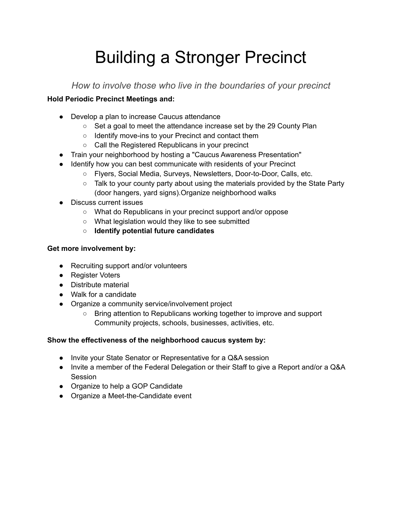# Building a Stronger Precinct

*How to involve those who live in the boundaries of your precinct*

### **Hold Periodic Precinct Meetings and:**

- Develop a plan to increase Caucus attendance
	- Set a goal to meet the attendance increase set by the 29 County Plan
	- Identify move-ins to your Precinct and contact them
	- Call the Registered Republicans in your precinct
- Train your neighborhood by hosting a "Caucus Awareness Presentation"
- Identify how you can best communicate with residents of your Precinct
	- Flyers, Social Media, Surveys, Newsletters, Door-to-Door, Calls, etc.
	- Talk to your county party about using the materials provided by the State Party (door hangers, yard signs).Organize neighborhood walks
- Discuss current issues
	- What do Republicans in your precinct support and/or oppose
	- What legislation would they like to see submitted
	- **Identify potential future candidates**

### **Get more involvement by:**

- Recruiting support and/or volunteers
- Register Voters
- Distribute material
- Walk for a candidate
- Organize a community service/involvement project
	- Bring attention to Republicans working together to improve and support Community projects, schools, businesses, activities, etc.

### **Show the effectiveness of the neighborhood caucus system by:**

- Invite your State Senator or Representative for a Q&A session
- Invite a member of the Federal Delegation or their Staff to give a Report and/or a Q&A Session
- Organize to help a GOP Candidate
- Organize a Meet-the-Candidate event